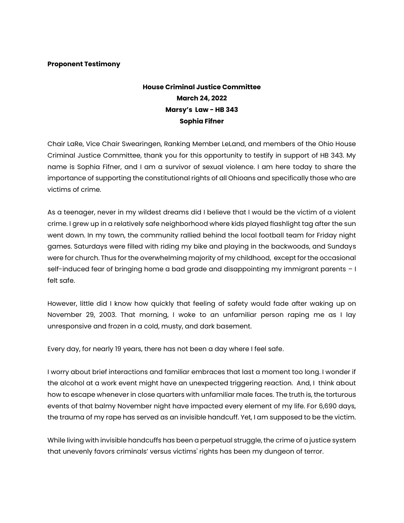## **Proponent Testimony**

## **House Criminal Justice Committee March 24, 2022 Marsy's Law - HB 343 Sophia Fifner**

Chair LaRe, Vice Chair Swearingen, Ranking Member LeLand, and members of the Ohio House Criminal Justice Committee, thank you for this opportunity to testify in support of HB 343. My name is Sophia Fifner, and I am a survivor of sexual violence. I am here today to share the importance of supporting the constitutional rights of all Ohioans and specifically those who are victims of crime.

As a teenager, never in my wildest dreams did I believe that I would be the victim of a violent crime. I grew up in a relatively safe neighborhood where kids played flashlight tag after the sun went down. In my town, the community rallied behind the local football team for Friday night games. Saturdays were filled with riding my bike and playing in the backwoods, and Sundays were for church. Thus for the overwhelming majority of my childhood, except for the occasional self-induced fear of bringing home a bad grade and disappointing my immigrant parents – I felt safe.

However, little did I know how quickly that feeling of safety would fade after waking up on November 29, 2003. That morning, I woke to an unfamiliar person raping me as I lay unresponsive and frozen in a cold, musty, and dark basement.

Every day, for nearly 19 years, there has not been a day where I feel safe.

I worry about brief interactions and familiar embraces that last a moment too long. I wonder if the alcohol at a work event might have an unexpected triggering reaction. And, I think about how to escape whenever in close quarters with unfamiliar male faces. The truth is, the torturous events of that balmy November night have impacted every element of my life. For 6,690 days, the trauma of my rape has served as an invisible handcuff. Yet, I am supposed to be the victim.

While living with invisible handcuffs has been a perpetual struggle, the crime of a justice system that unevenly favors criminals' versus victims' rights has been my dungeon of terror.